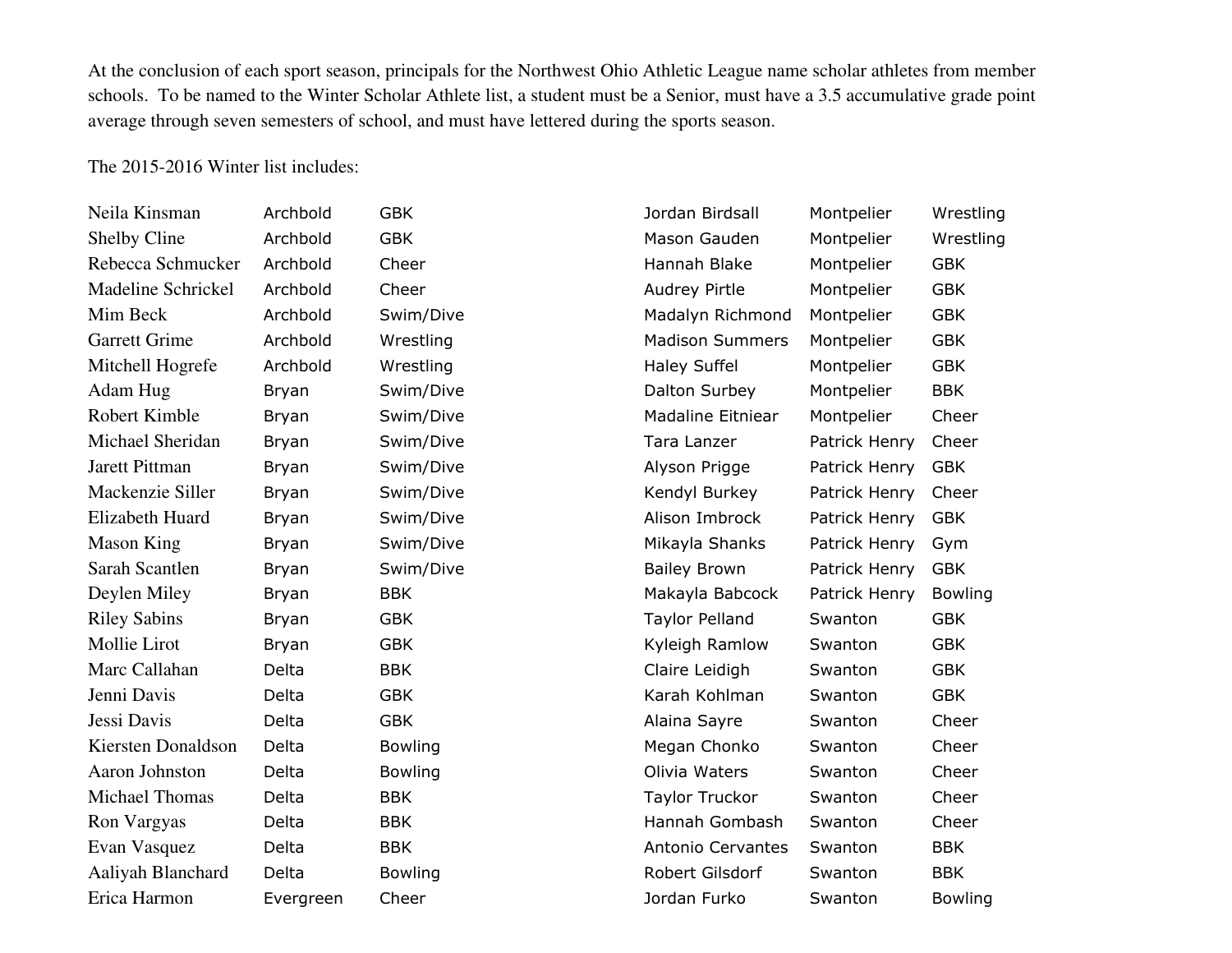At the conclusion of each sport season, principals for the Northwest Ohio Athletic League name scholar athletes from member schools. To be named to the Winter Scholar Athlete list, a student must be a Senior, must have a 3.5 accumulative grade point average through seven semesters of school, and must have lettered during the sports season.

The 2015-2016 Winter list includes:

| Neila Kinsman        | Archbold     | <b>GBK</b>     | Jordan Birdsall          | Montpelier    | Wrestling      |
|----------------------|--------------|----------------|--------------------------|---------------|----------------|
| Shelby Cline         | Archbold     | <b>GBK</b>     | Mason Gauden             | Montpelier    | Wrestling      |
| Rebecca Schmucker    | Archbold     | Cheer          | Hannah Blake             | Montpelier    | <b>GBK</b>     |
| Madeline Schrickel   | Archbold     | Cheer          | Audrey Pirtle            | Montpelier    | <b>GBK</b>     |
| Mim Beck             | Archbold     | Swim/Dive      | Madalyn Richmond         | Montpelier    | <b>GBK</b>     |
| <b>Garrett Grime</b> | Archbold     | Wrestling      | <b>Madison Summers</b>   | Montpelier    | <b>GBK</b>     |
| Mitchell Hogrefe     | Archbold     | Wrestling      | <b>Haley Suffel</b>      | Montpelier    | <b>GBK</b>     |
| Adam Hug             | Bryan        | Swim/Dive      | Dalton Surbey            | Montpelier    | <b>BBK</b>     |
| Robert Kimble        | Bryan        | Swim/Dive      | <b>Madaline Eitniear</b> | Montpelier    | Cheer          |
| Michael Sheridan     | Bryan        | Swim/Dive      | Tara Lanzer              | Patrick Henry | Cheer          |
| Jarett Pittman       | <b>Bryan</b> | Swim/Dive      | Alyson Prigge            | Patrick Henry | <b>GBK</b>     |
| Mackenzie Siller     | Bryan        | Swim/Dive      | Kendyl Burkey            | Patrick Henry | Cheer          |
| Elizabeth Huard      | Bryan        | Swim/Dive      | Alison Imbrock           | Patrick Henry | <b>GBK</b>     |
| <b>Mason King</b>    | <b>Bryan</b> | Swim/Dive      | Mikayla Shanks           | Patrick Henry | Gym            |
| Sarah Scantlen       | Bryan        | Swim/Dive      | <b>Bailey Brown</b>      | Patrick Henry | <b>GBK</b>     |
| Deylen Miley         | Bryan        | <b>BBK</b>     | Makayla Babcock          | Patrick Henry | <b>Bowling</b> |
| <b>Riley Sabins</b>  | Bryan        | <b>GBK</b>     | <b>Taylor Pelland</b>    | Swanton       | <b>GBK</b>     |
| Mollie Lirot         | Bryan        | <b>GBK</b>     | Kyleigh Ramlow           | Swanton       | <b>GBK</b>     |
| Marc Callahan        | Delta        | <b>BBK</b>     | Claire Leidigh           | Swanton       | <b>GBK</b>     |
| Jenni Davis          | Delta        | <b>GBK</b>     | Karah Kohlman            | Swanton       | <b>GBK</b>     |
| Jessi Davis          | Delta        | <b>GBK</b>     | Alaina Sayre             | Swanton       | Cheer          |
| Kiersten Donaldson   | Delta        | <b>Bowling</b> | Megan Chonko             | Swanton       | Cheer          |
| Aaron Johnston       | Delta        | <b>Bowling</b> | Olivia Waters            | Swanton       | Cheer          |
| Michael Thomas       | Delta        | <b>BBK</b>     | <b>Taylor Truckor</b>    | Swanton       | Cheer          |
| Ron Vargyas          | Delta        | <b>BBK</b>     | Hannah Gombash           | Swanton       | Cheer          |
| Evan Vasquez         | Delta        | <b>BBK</b>     | Antonio Cervantes        | Swanton       | <b>BBK</b>     |
| Aaliyah Blanchard    | Delta        | <b>Bowling</b> | Robert Gilsdorf          | Swanton       | <b>BBK</b>     |
| Erica Harmon         | Evergreen    | Cheer          | Jordan Furko             | Swanton       | <b>Bowling</b> |
|                      |              |                |                          |               |                |